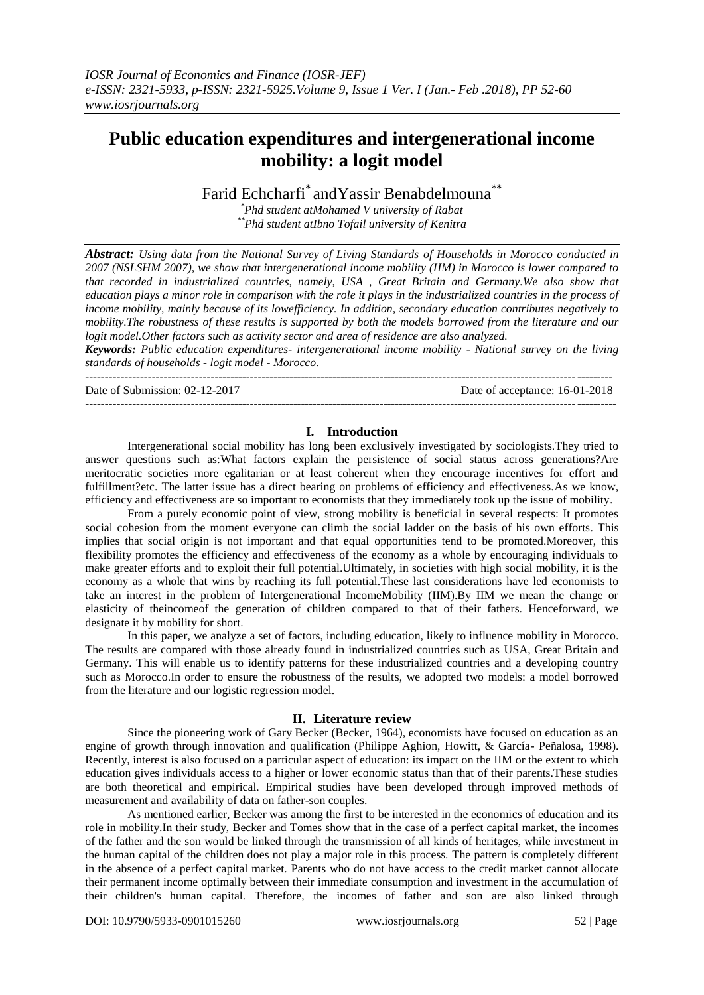# **Public education expenditures and intergenerational income mobility: a logit model**

Farid Echcharfi<sup>\*</sup> and Yassir Benabdelmouna<sup>\*\*</sup>

*\*Phd student atMohamed V university of Rabat \*\*Phd student atIbno Tofail university of Kenitra*

*Abstract: Using data from the National Survey of Living Standards of Households in Morocco conducted in 2007 (NSLSHM 2007), we show that intergenerational income mobility (IIM) in Morocco is lower compared to that recorded in industrialized countries, namely, USA , Great Britain and Germany.We also show that education plays a minor role in comparison with the role it plays in the industrialized countries in the process of income mobility, mainly because of its lowefficiency. In addition, secondary education contributes negatively to mobility.The robustness of these results is supported by both the models borrowed from the literature and our logit model.Other factors such as activity sector and area of residence are also analyzed.*

*Keywords: Public education expenditures- intergenerational income mobility - National survey on the living standards of households - logit model - Morocco.*

 $-1.1$ 

---------------------------------------------------------------------------------------------------------------------------------------

Date of Submission: 02-12-2017 Date of acceptance: 16-01-2018

# **I. Introduction**

Intergenerational social mobility has long been exclusively investigated by sociologists.They tried to answer questions such as:What factors explain the persistence of social status across generations?Are meritocratic societies more egalitarian or at least coherent when they encourage incentives for effort and fulfillment?etc. The latter issue has a direct bearing on problems of efficiency and effectiveness.As we know, efficiency and effectiveness are so important to economists that they immediately took up the issue of mobility.

From a purely economic point of view, strong mobility is beneficial in several respects: It promotes social cohesion from the moment everyone can climb the social ladder on the basis of his own efforts. This implies that social origin is not important and that equal opportunities tend to be promoted.Moreover, this flexibility promotes the efficiency and effectiveness of the economy as a whole by encouraging individuals to make greater efforts and to exploit their full potential.Ultimately, in societies with high social mobility, it is the economy as a whole that wins by reaching its full potential.These last considerations have led economists to take an interest in the problem of Intergenerational IncomeMobility (IIM).By IIM we mean the change or elasticity of theincomeof the generation of children compared to that of their fathers. Henceforward, we designate it by mobility for short.

In this paper, we analyze a set of factors, including education, likely to influence mobility in Morocco. The results are compared with those already found in industrialized countries such as USA, Great Britain and Germany. This will enable us to identify patterns for these industrialized countries and a developing country such as Morocco.In order to ensure the robustness of the results, we adopted two models: a model borrowed from the literature and our logistic regression model.

#### **II. Literature review**

Since the pioneering work of Gary Becker (Becker, 1964), economists have focused on education as an engine of growth through innovation and qualification (Philippe Aghion, Howitt, & García- Peñalosa, 1998). Recently, interest is also focused on a particular aspect of education: its impact on the IIM or the extent to which education gives individuals access to a higher or lower economic status than that of their parents.These studies are both theoretical and empirical. Empirical studies have been developed through improved methods of measurement and availability of data on father-son couples.

As mentioned earlier, Becker was among the first to be interested in the economics of education and its role in mobility.In their study, Becker and Tomes show that in the case of a perfect capital market, the incomes of the father and the son would be linked through the transmission of all kinds of heritages, while investment in the human capital of the children does not play a major role in this process. The pattern is completely different in the absence of a perfect capital market. Parents who do not have access to the credit market cannot allocate their permanent income optimally between their immediate consumption and investment in the accumulation of their children's human capital. Therefore, the incomes of father and son are also linked through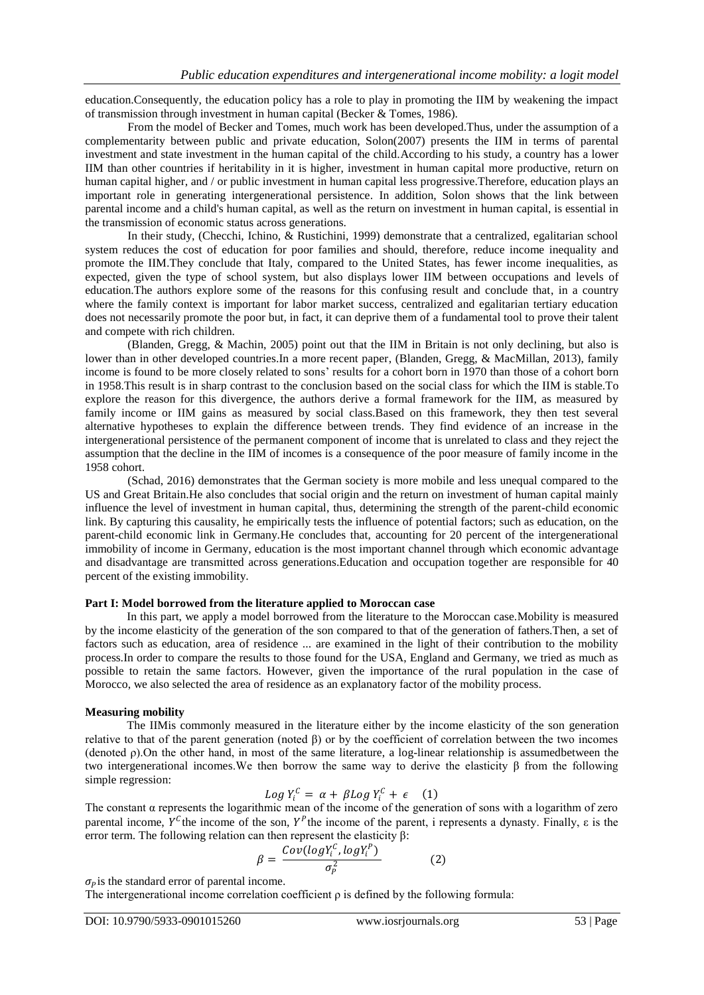education.Consequently, the education policy has a role to play in promoting the IIM by weakening the impact of transmission through investment in human capital (Becker & Tomes, 1986).

From the model of Becker and Tomes, much work has been developed.Thus, under the assumption of a complementarity between public and private education, Solon(2007) presents the IIM in terms of parental investment and state investment in the human capital of the child.According to his study, a country has a lower IIM than other countries if heritability in it is higher, investment in human capital more productive, return on human capital higher, and / or public investment in human capital less progressive.Therefore, education plays an important role in generating intergenerational persistence. In addition, Solon shows that the link between parental income and a child's human capital, as well as the return on investment in human capital, is essential in the transmission of economic status across generations.

In their study, (Checchi, Ichino, & Rustichini, 1999) demonstrate that a centralized, egalitarian school system reduces the cost of education for poor families and should, therefore, reduce income inequality and promote the IIM.They conclude that Italy, compared to the United States, has fewer income inequalities, as expected, given the type of school system, but also displays lower IIM between occupations and levels of education.The authors explore some of the reasons for this confusing result and conclude that, in a country where the family context is important for labor market success, centralized and egalitarian tertiary education does not necessarily promote the poor but, in fact, it can deprive them of a fundamental tool to prove their talent and compete with rich children.

(Blanden, Gregg, & Machin, 2005) point out that the IIM in Britain is not only declining, but also is lower than in other developed countries. In a more recent paper, (Blanden, Gregg, & MacMillan, 2013), family income is found to be more closely related to sons' results for a cohort born in 1970 than those of a cohort born in 1958.This result is in sharp contrast to the conclusion based on the social class for which the IIM is stable.To explore the reason for this divergence, the authors derive a formal framework for the IIM, as measured by family income or IIM gains as measured by social class.Based on this framework, they then test several alternative hypotheses to explain the difference between trends. They find evidence of an increase in the intergenerational persistence of the permanent component of income that is unrelated to class and they reject the assumption that the decline in the IIM of incomes is a consequence of the poor measure of family income in the 1958 cohort.

(Schad, 2016) demonstrates that the German society is more mobile and less unequal compared to the US and Great Britain.He also concludes that social origin and the return on investment of human capital mainly influence the level of investment in human capital, thus, determining the strength of the parent-child economic link. By capturing this causality, he empirically tests the influence of potential factors; such as education, on the parent-child economic link in Germany.He concludes that, accounting for 20 percent of the intergenerational immobility of income in Germany, education is the most important channel through which economic advantage and disadvantage are transmitted across generations.Education and occupation together are responsible for 40 percent of the existing immobility.

#### **Part I: Model borrowed from the literature applied to Moroccan case**

In this part, we apply a model borrowed from the literature to the Moroccan case.Mobility is measured by the income elasticity of the generation of the son compared to that of the generation of fathers.Then, a set of factors such as education, area of residence ... are examined in the light of their contribution to the mobility process.In order to compare the results to those found for the USA, England and Germany, we tried as much as possible to retain the same factors. However, given the importance of the rural population in the case of Morocco, we also selected the area of residence as an explanatory factor of the mobility process.

# **Measuring mobility**

The IIMis commonly measured in the literature either by the income elasticity of the son generation relative to that of the parent generation (noted β) or by the coefficient of correlation between the two incomes (denoted ρ).On the other hand, in most of the same literature, a log-linear relationship is assumedbetween the two intergenerational incomes.We then borrow the same way to derive the elasticity β from the following simple regression:

$$
Log Y_i^C = \alpha + \beta Log Y_i^C + \epsilon \quad (1)
$$

The constant  $\alpha$  represents the logarithmic mean of the income of the generation of sons with a logarithm of zero parental income,  $Y^C$  the income of the son,  $Y^P$  the income of the parent, i represents a dynasty. Finally,  $\varepsilon$  is the error term. The following relation can then represent the elasticity β:

$$
\beta = \frac{Cov(log Y_i^C, log Y_i^P)}{\sigma_P^2}
$$
 (2)

 $\sigma_p$  is the standard error of parental income.

The intergenerational income correlation coefficient  $\rho$  is defined by the following formula: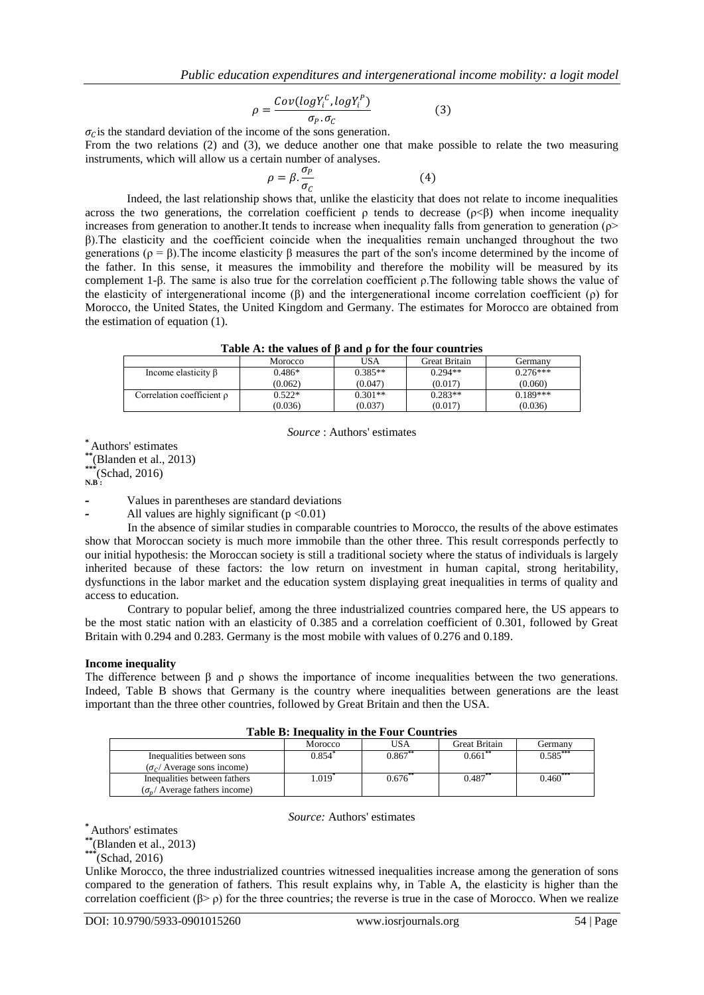$$
\rho = \frac{Cov(log Y_i^C, log Y_i^P)}{\sigma_P. \sigma_C} \tag{3}
$$

 $\sigma_c$  is the standard deviation of the income of the sons generation.

From the two relations (2) and (3), we deduce another one that make possible to relate the two measuring instruments, which will allow us a certain number of analyses.

$$
\rho = \beta \cdot \frac{\sigma_P}{\sigma_C} \tag{4}
$$

Indeed, the last relationship shows that, unlike the elasticity that does not relate to income inequalities across the two generations, the correlation coefficient  $\rho$  tends to decrease ( $\rho < \beta$ ) when income inequality increases from generation to another.It tends to increase when inequality falls from generation to generation (ρ> β).The elasticity and the coefficient coincide when the inequalities remain unchanged throughout the two generations ( $ρ = β$ ). The income elasticity  $β$  measures the part of the son's income determined by the income of the father. In this sense, it measures the immobility and therefore the mobility will be measured by its complement 1-β. The same is also true for the correlation coefficient ρ.The following table shows the value of the elasticity of intergenerational income (β) and the intergenerational income correlation coefficient (ρ) for Morocco, the United States, the United Kingdom and Germany. The estimates for Morocco are obtained from the estimation of equation (1).

| Table A: the values of $\beta$ and $\rho$ for the four countries |  |  |  |  |  |  |
|------------------------------------------------------------------|--|--|--|--|--|--|
|------------------------------------------------------------------|--|--|--|--|--|--|

|                                | Tuble in the Tulues of B and B for the four countries |           |                      |            |
|--------------------------------|-------------------------------------------------------|-----------|----------------------|------------|
|                                | Morocco                                               | USA       | <b>Great Britain</b> | Germanv    |
| Income elasticity $\beta$      | $0.486*$                                              | $0.385**$ | $0.294**$            | $0.276***$ |
|                                | (0.062)                                               | (0.047)   | (0.017)              | (0.060)    |
| Correlation coefficient $\rho$ | $0.522*$                                              | $0.301**$ | $0.283**$            | $0.189***$ |
|                                | (0.036)                                               | (0.037)   | (0.017)              | (0.036)    |

*Source* : Authors' estimates

**\*** Authors' estimates

**\*\*** (Blanden et al., 2013)

**\*\*\***(Schad, 2016)

**N.B :**

**-** Values in parentheses are standard deviations

**-** All values are highly significant (p <0.01)

In the absence of similar studies in comparable countries to Morocco, the results of the above estimates show that Moroccan society is much more immobile than the other three. This result corresponds perfectly to our initial hypothesis: the Moroccan society is still a traditional society where the status of individuals is largely inherited because of these factors: the low return on investment in human capital, strong heritability, dysfunctions in the labor market and the education system displaying great inequalities in terms of quality and access to education.

Contrary to popular belief, among the three industrialized countries compared here, the US appears to be the most static nation with an elasticity of 0.385 and a correlation coefficient of 0.301, followed by Great Britain with 0.294 and 0.283. Germany is the most mobile with values of 0.276 and 0.189.

# **Income inequality**

The difference between β and ρ shows the importance of income inequalities between the two generations. Indeed, Table B shows that Germany is the country where inequalities between generations are the least important than the three other countries, followed by Great Britain and then the USA.

| Table D. Highlandy in the Poul Countries |            |           |                      |            |  |  |  |
|------------------------------------------|------------|-----------|----------------------|------------|--|--|--|
|                                          | Morocco    | USA       | <b>Great Britain</b> | Germanv    |  |  |  |
| Inequalities between sons                | 0.854°     | $0.867**$ | $0.661$ **           | $0.585***$ |  |  |  |
| $(\sigma_c/\text{Average sons income})$  |            |           |                      |            |  |  |  |
| Inequalities between fathers             | $.019^{*}$ | $0.676**$ | $0.487***$           | $0.460***$ |  |  |  |
| $(\sigma_{n}/$ Average fathers income)   |            |           |                      |            |  |  |  |

# **Table B: Inequality in the Four Countries**

*Source:* Authors' estimates

**\*** Authors' estimates

**\*\***(Blanden et al., 2013)

**\*\*\***(Schad, 2016)

Unlike Morocco, the three industrialized countries witnessed inequalities increase among the generation of sons compared to the generation of fathers. This result explains why, in Table A, the elasticity is higher than the correlation coefficient ( $\beta$ >  $\rho$ ) for the three countries; the reverse is true in the case of Morocco. When we realize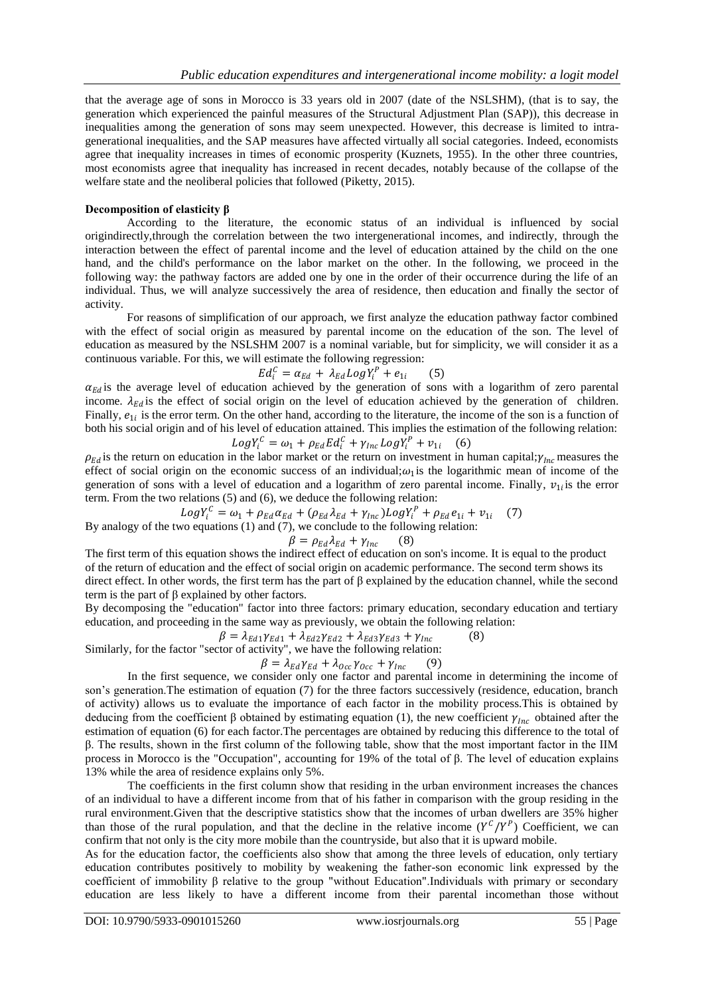that the average age of sons in Morocco is 33 years old in 2007 (date of the NSLSHM), (that is to say, the generation which experienced the painful measures of the Structural Adjustment Plan (SAP)), this decrease in inequalities among the generation of sons may seem unexpected. However, this decrease is limited to intragenerational inequalities, and the SAP measures have affected virtually all social categories. Indeed, economists agree that inequality increases in times of economic prosperity (Kuznets, 1955). In the other three countries, most economists agree that inequality has increased in recent decades, notably because of the collapse of the welfare state and the neoliberal policies that followed (Piketty, 2015).

### **Decomposition of elasticity β**

According to the literature, the economic status of an individual is influenced by social origindirectly,through the correlation between the two intergenerational incomes, and indirectly, through the interaction between the effect of parental income and the level of education attained by the child on the one hand, and the child's performance on the labor market on the other. In the following, we proceed in the following way: the pathway factors are added one by one in the order of their occurrence during the life of an individual. Thus, we will analyze successively the area of residence, then education and finally the sector of activity.

For reasons of simplification of our approach, we first analyze the education pathway factor combined with the effect of social origin as measured by parental income on the education of the son. The level of education as measured by the NSLSHM 2007 is a nominal variable, but for simplicity, we will consider it as a continuous variable. For this, we will estimate the following regression:

$$
Ed_i^C = \alpha_{Ed} + \lambda_{Ed} Log Y_i^P + e_{1i} \qquad (5)
$$

 $\alpha_{Ed}$  is the average level of education achieved by the generation of sons with a logarithm of zero parental income.  $\lambda_{Ed}$  is the effect of social origin on the level of education achieved by the generation of children. Finally,  $e_{1i}$  is the error term. On the other hand, according to the literature, the income of the son is a function of both his social origin and of his level of education attained. This implies the estimation of the following relation:

$$
LogY_i^C = \omega_1 + \rho_{Ed} Ed_i^C + \gamma_{Inc} LogY_i^P + v_{1i} \quad (6)
$$

 $\rho_{Ed}$  is the return on education in the labor market or the return on investment in human capital;  $\gamma_{Inc}$  measures the effect of social origin on the economic success of an individual; $\omega_1$  is the logarithmic mean of income of the generation of sons with a level of education and a logarithm of zero parental income. Finally,  $v_{1i}$  is the error term. From the two relations (5) and (6), we deduce the following relation:

 $LogY_i^C = \omega_1 + \rho_{Ed} \alpha_{Ed} + (\rho_{Ed} \lambda_{Ed} + \gamma_{Inc}) LogY_i^P + \rho_{Ed} e_{1i} + v_{1i}$  (7)

By analogy of the two equations (1) and (7), we conclude to the following relation:

$$
\beta = \rho_{Ed} \lambda_{Ed} + \gamma_{Inc} \qquad (8)
$$

The first term of this equation shows the indirect effect of education on son's income. It is equal to the product of the return of education and the effect of social origin on academic performance. The second term shows its direct effect. In other words, the first term has the part of β explained by the education channel, while the second term is the part of β explained by other factors.

By decomposing the "education" factor into three factors: primary education, secondary education and tertiary education, and proceeding in the same way as previously, we obtain the following relation:

$$
\beta = \lambda_{Ed1}\gamma_{Ed1} + \lambda_{Ed2}\gamma_{Ed2} + \lambda_{Ed3}\gamma_{Ed3} + \gamma_{Inc}
$$
 (8)

Similarly, for the factor "sector of activity", we have the following relation:

$$
\beta = \lambda_{Ed} \gamma_{Ed} + \lambda_{Occ} \gamma_{Occ} + \gamma_{Inc} \qquad (9)
$$

In the first sequence, we consider only one factor and parental income in determining the income of son's generation.The estimation of equation (7) for the three factors successively (residence, education, branch of activity) allows us to evaluate the importance of each factor in the mobility process.This is obtained by deducing from the coefficient  $\beta$  obtained by estimating equation (1), the new coefficient  $\gamma_{inc}$  obtained after the estimation of equation (6) for each factor.The percentages are obtained by reducing this difference to the total of β. The results, shown in the first column of the following table, show that the most important factor in the IIM process in Morocco is the "Occupation", accounting for 19% of the total of β. The level of education explains 13% while the area of residence explains only 5%.

The coefficients in the first column show that residing in the urban environment increases the chances of an individual to have a different income from that of his father in comparison with the group residing in the rural environment.Given that the descriptive statistics show that the incomes of urban dwellers are 35% higher than those of the rural population, and that the decline in the relative income  $(Y^{C}/Y^{P})$  Coefficient, we can confirm that not only is the city more mobile than the countryside, but also that it is upward mobile.

As for the education factor, the coefficients also show that among the three levels of education, only tertiary education contributes positively to mobility by weakening the father-son economic link expressed by the coefficient of immobility β relative to the group "without Education".Individuals with primary or secondary education are less likely to have a different income from their parental incomethan those without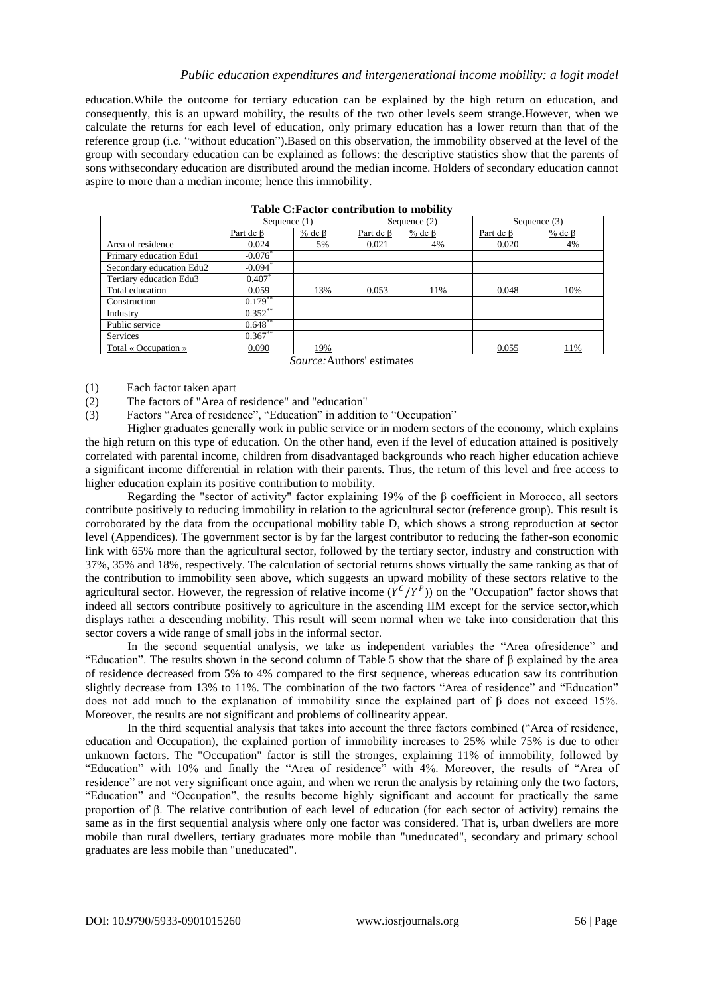education.While the outcome for tertiary education can be explained by the high return on education, and consequently, this is an upward mobility, the results of the two other levels seem strange.However, when we calculate the returns for each level of education, only primary education has a lower return than that of the reference group (i.e. "without education").Based on this observation, the immobility observed at the level of the group with secondary education can be explained as follows: the descriptive statistics show that the parents of sons withsecondary education are distributed around the median income. Holders of secondary education cannot aspire to more than a median income; hence this immobility.

| Tuble Oil actor contribution to mobility |                       |                |                 |                |              |                |  |  |
|------------------------------------------|-----------------------|----------------|-----------------|----------------|--------------|----------------|--|--|
|                                          | Sequence (1)          |                | Sequence $(2)$  |                | Sequence (3) |                |  |  |
|                                          | Part de B             | $%$ de $\beta$ | Part de $\beta$ | $%$ de $\beta$ | Part de B    | $%$ de $\beta$ |  |  |
| Area of residence                        | 0.024                 | 5%             | 0.021           | 4%             | 0.020        | 4%             |  |  |
| Primary education Edu1                   | $-0.076$ <sup>*</sup> |                |                 |                |              |                |  |  |
| Secondary education Edu2                 | $-0.094$ <sup>*</sup> |                |                 |                |              |                |  |  |
| Tertiary education Edu3                  | $0.407*$              |                |                 |                |              |                |  |  |
| Total education                          | 0.059                 | 13%            | 0.053           | 11%            | 0.048        | 10%            |  |  |
| Construction                             | $0.179**$             |                |                 |                |              |                |  |  |
| Industry                                 | $0.352$ **            |                |                 |                |              |                |  |  |
| Public service                           | $0.648***$            |                |                 |                |              |                |  |  |
| <b>Services</b>                          | $0.367**$             |                |                 |                |              |                |  |  |
| Total « Occupation »                     | 0.090                 | 19%            |                 |                | 0.055        | 11%            |  |  |
|                                          |                       |                |                 |                |              |                |  |  |

**Table C:Factor contribution to mobility**

*Source:*Authors' estimates

- (1) Each factor taken apart
- (2) The factors of "Area of residence" and "education"
- (3) Factors "Area of residence", "Education" in addition to "Occupation"

Higher graduates generally work in public service or in modern sectors of the economy, which explains the high return on this type of education. On the other hand, even if the level of education attained is positively correlated with parental income, children from disadvantaged backgrounds who reach higher education achieve a significant income differential in relation with their parents. Thus, the return of this level and free access to higher education explain its positive contribution to mobility.

Regarding the "sector of activity" factor explaining 19% of the β coefficient in Morocco, all sectors contribute positively to reducing immobility in relation to the agricultural sector (reference group). This result is corroborated by the data from the occupational mobility table D, which shows a strong reproduction at sector level (Appendices). The government sector is by far the largest contributor to reducing the father-son economic link with 65% more than the agricultural sector, followed by the tertiary sector, industry and construction with 37%, 35% and 18%, respectively. The calculation of sectorial returns shows virtually the same ranking as that of the contribution to immobility seen above, which suggests an upward mobility of these sectors relative to the agricultural sector. However, the regression of relative income  $(Y^{C}/Y^{P})$  on the "Occupation" factor shows that indeed all sectors contribute positively to agriculture in the ascending IIM except for the service sector,which displays rather a descending mobility. This result will seem normal when we take into consideration that this sector covers a wide range of small jobs in the informal sector.

In the second sequential analysis, we take as independent variables the "Area ofresidence" and "Education". The results shown in the second column of Table 5 show that the share of β explained by the area of residence decreased from 5% to 4% compared to the first sequence, whereas education saw its contribution slightly decrease from 13% to 11%. The combination of the two factors "Area of residence" and "Education" does not add much to the explanation of immobility since the explained part of β does not exceed 15%. Moreover, the results are not significant and problems of collinearity appear.

In the third sequential analysis that takes into account the three factors combined ("Area of residence, education and Occupation), the explained portion of immobility increases to 25% while 75% is due to other unknown factors. The "Occupation" factor is still the stronges, explaining 11% of immobility, followed by "Education" with 10% and finally the "Area of residence" with 4%. Moreover, the results of "Area of residence" are not very significant once again, and when we rerun the analysis by retaining only the two factors, "Education" and "Occupation", the results become highly significant and account for practically the same proportion of β. The relative contribution of each level of education (for each sector of activity) remains the same as in the first sequential analysis where only one factor was considered. That is, urban dwellers are more mobile than rural dwellers, tertiary graduates more mobile than "uneducated", secondary and primary school graduates are less mobile than "uneducated".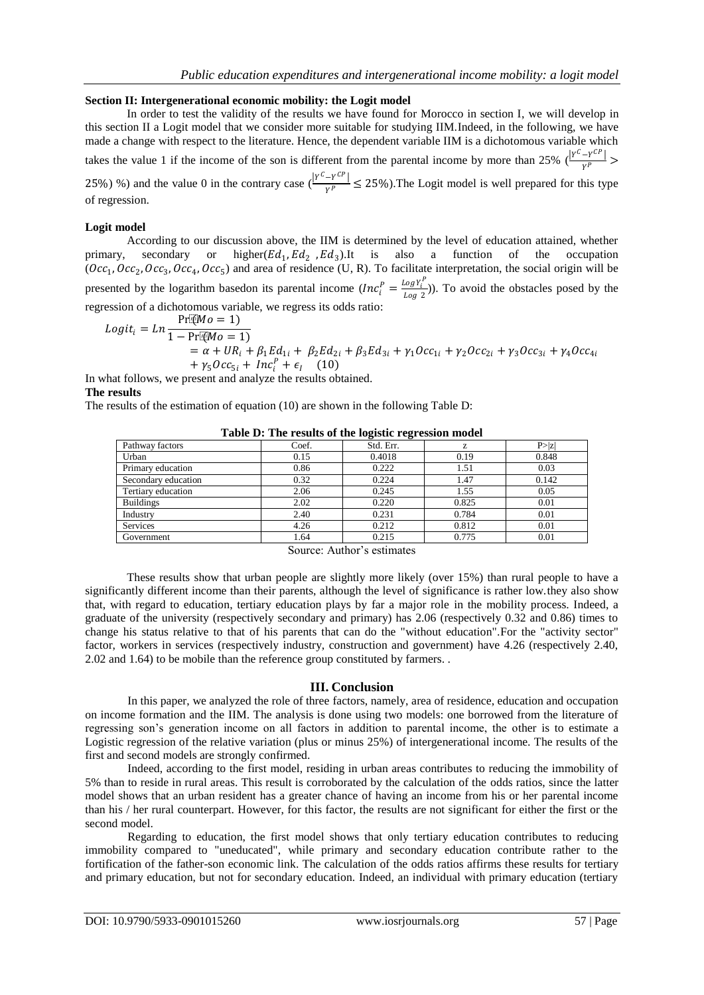#### **Section II: Intergenerational economic mobility: the Logit model**

In order to test the validity of the results we have found for Morocco in section I, we will develop in this section II a Logit model that we consider more suitable for studying IIM.Indeed, in the following, we have made a change with respect to the literature. Hence, the dependent variable IIM is a dichotomous variable which takes the value 1 if the income of the son is different from the parental income by more than 25%  $\left(\frac{|Y^C - Y^{CP}|}{\sigma P}\right)$  $\frac{1}{\gamma P}$  > 25%) %) and the value 0 in the contrary case  $\frac{|Y^C - Y^{CP}|}{\nu^p}$  $\frac{1}{\gamma P}$   $\leq$  25%). The Logit model is well prepared for this type of regression.

#### **Logit model**

According to our discussion above, the IIM is determined by the level of education attained, whether primary, secondary or ,  $Ed_2$ ,  $Ed_3$ ).It is also a function of the occupation  $(0cc_1, 0cc_2, 0cc_3, 0cc_4, 0cc_5)$  and area of residence (U, R). To facilitate interpretation, the social origin will be presented by the logarithm basedon its parental income  $(Inc_i^p) = \frac{Log Y_i^p}{Log 2}$  $\frac{\log t_i}{\log 2}$ )). To avoid the obstacles posed by the regression of a dichotomous variable, we regress its odds ratio:

$$
Logit_i = Ln \frac{\Pr[W_0 = 1]}{1 - \Pr[W_0 = 1]}= \alpha + UR_i + \beta_1 Ed_{1i} + \beta_2 Ed_{2i} + \beta_3 Ed_{3i} + \gamma_1 Occ_{1i} + \gamma_2 Occ_{2i} + \gamma_3 Occ_{3i} + \gamma_4 Occ_{4i} + \gamma_5Occ_{5i} + Inc_i^p + \epsilon_i \qquad (10)
$$

In what follows, we present and analyze the results obtained.

#### **The results**

The results of the estimation of equation (10) are shown in the following Table D:

|                     | Tuble D: The results of the logistic regression model |           |       |        |
|---------------------|-------------------------------------------------------|-----------|-------|--------|
| Pathway factors     | Coef.                                                 | Std. Err. |       | P >  z |
| Urban               | 0.15                                                  | 0.4018    | 0.19  | 0.848  |
| Primary education   | 0.86                                                  | 0.222     | 1.51  | 0.03   |
| Secondary education | 0.32                                                  | 0.224     | 1.47  | 0.142  |
| Tertiary education  | 2.06                                                  | 0.245     | 1.55  | 0.05   |
| <b>Buildings</b>    | 2.02                                                  | 0.220     | 0.825 | 0.01   |
| Industry            | 2.40                                                  | 0.231     | 0.784 | 0.01   |
| <b>Services</b>     | 4.26                                                  | 0.212     | 0.812 | 0.01   |
| Government          | 1.64                                                  | 0.215     | 0.775 | 0.01   |

**Table D: The results of the logistic regression model**

Source: Author's estimates

These results show that urban people are slightly more likely (over 15%) than rural people to have a significantly different income than their parents, although the level of significance is rather low.they also show that, with regard to education, tertiary education plays by far a major role in the mobility process. Indeed, a graduate of the university (respectively secondary and primary) has 2.06 (respectively 0.32 and 0.86) times to change his status relative to that of his parents that can do the "without education".For the "activity sector" factor, workers in services (respectively industry, construction and government) have 4.26 (respectively 2.40, 2.02 and 1.64) to be mobile than the reference group constituted by farmers. .

#### **III. Conclusion**

In this paper, we analyzed the role of three factors, namely, area of residence, education and occupation on income formation and the IIM. The analysis is done using two models: one borrowed from the literature of regressing son's generation income on all factors in addition to parental income, the other is to estimate a Logistic regression of the relative variation (plus or minus 25%) of intergenerational income. The results of the first and second models are strongly confirmed.

Indeed, according to the first model, residing in urban areas contributes to reducing the immobility of 5% than to reside in rural areas. This result is corroborated by the calculation of the odds ratios, since the latter model shows that an urban resident has a greater chance of having an income from his or her parental income than his / her rural counterpart. However, for this factor, the results are not significant for either the first or the second model.

Regarding to education, the first model shows that only tertiary education contributes to reducing immobility compared to "uneducated", while primary and secondary education contribute rather to the fortification of the father-son economic link. The calculation of the odds ratios affirms these results for tertiary and primary education, but not for secondary education. Indeed, an individual with primary education (tertiary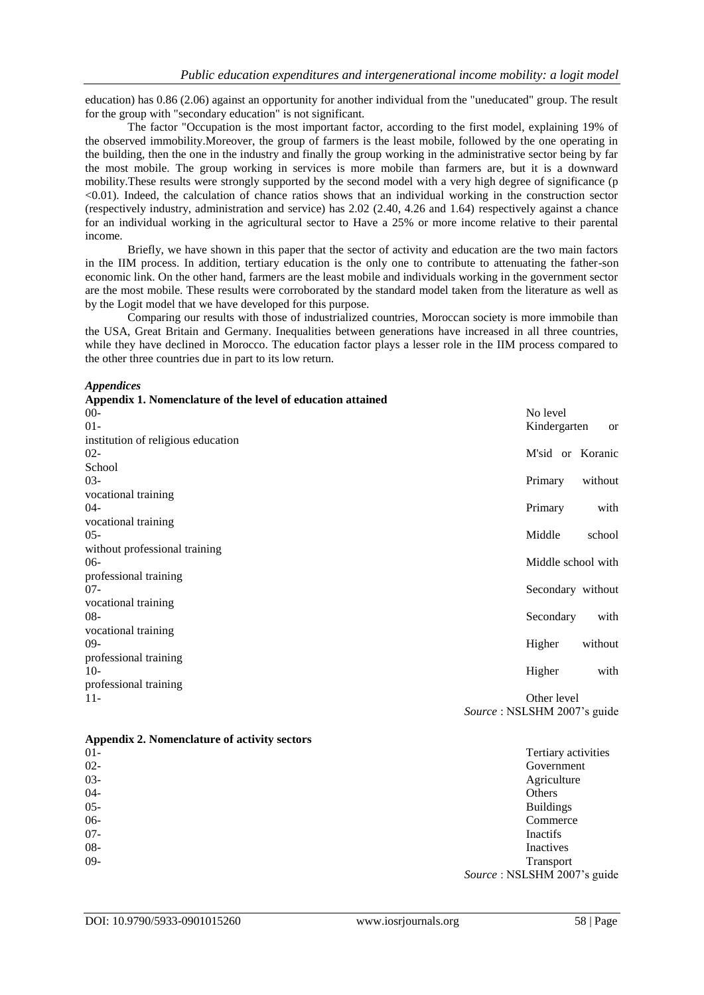education) has 0.86 (2.06) against an opportunity for another individual from the "uneducated" group. The result for the group with "secondary education" is not significant.

The factor "Occupation is the most important factor, according to the first model, explaining 19% of the observed immobility.Moreover, the group of farmers is the least mobile, followed by the one operating in the building, then the one in the industry and finally the group working in the administrative sector being by far the most mobile. The group working in services is more mobile than farmers are, but it is a downward mobility.These results were strongly supported by the second model with a very high degree of significance (p <0.01). Indeed, the calculation of chance ratios shows that an individual working in the construction sector (respectively industry, administration and service) has 2.02 (2.40, 4.26 and 1.64) respectively against a chance for an individual working in the agricultural sector to Have a 25% or more income relative to their parental income.

Briefly, we have shown in this paper that the sector of activity and education are the two main factors in the IIM process. In addition, tertiary education is the only one to contribute to attenuating the father-son economic link. On the other hand, farmers are the least mobile and individuals working in the government sector are the most mobile. These results were corroborated by the standard model taken from the literature as well as by the Logit model that we have developed for this purpose.

Comparing our results with those of industrialized countries, Moroccan society is more immobile than the USA, Great Britain and Germany. Inequalities between generations have increased in all three countries, while they have declined in Morocco. The education factor plays a lesser role in the IIM process compared to the other three countries due in part to its low return.

*Appendices*

| Appendix 1. Nomenclature of the level of education attained |                             |               |
|-------------------------------------------------------------|-----------------------------|---------------|
| $00 -$                                                      | No level                    |               |
| $01 -$                                                      | Kindergarten                | <sub>or</sub> |
| institution of religious education                          |                             |               |
| $02 -$                                                      | M'sid or Koranic            |               |
| School                                                      |                             |               |
| $03 -$                                                      | Primary                     | without       |
| vocational training                                         |                             |               |
| $04-$                                                       | Primary                     | with          |
| vocational training                                         |                             |               |
| $05 -$                                                      | Middle                      | school        |
| without professional training                               |                             |               |
| $06-$                                                       | Middle school with          |               |
| professional training                                       |                             |               |
| $07 -$                                                      | Secondary without           |               |
| vocational training                                         |                             |               |
| $08 -$                                                      | Secondary                   | with          |
| vocational training                                         |                             |               |
| $09-$                                                       | Higher                      | without       |
| professional training                                       |                             |               |
| $10-$                                                       | Higher                      | with          |
| professional training                                       |                             |               |
| $11-$                                                       | Other level                 |               |
|                                                             | Source: NSLSHM 2007's guide |               |

## **Appendix 2. Nomenclature of activity sectors**

| $01 -$ | Tertiary activities         |
|--------|-----------------------------|
| $02 -$ | Government                  |
| $03 -$ | Agriculture                 |
| $04 -$ | Others                      |
| $05 -$ | <b>Buildings</b>            |
| $06-$  | Commerce                    |
| $07 -$ | Inactifs                    |
| $08 -$ | Inactives                   |
| $09 -$ | Transport                   |
|        | Source: NSLSHM 2007's guide |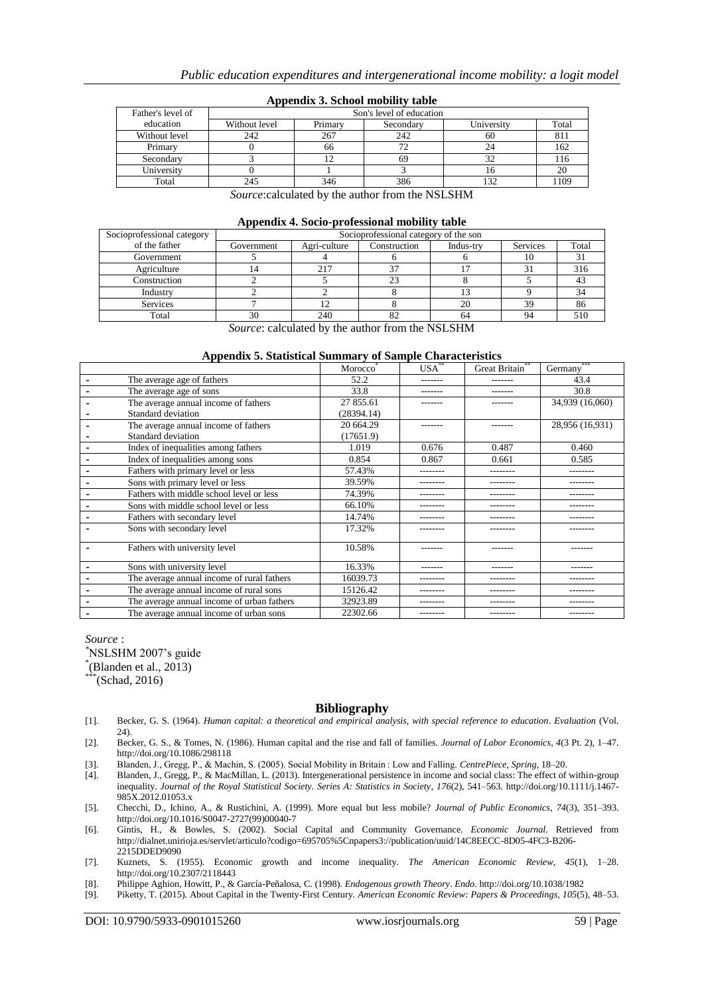| Father's level of | Son's level of education |         |           |            |       |  |  |
|-------------------|--------------------------|---------|-----------|------------|-------|--|--|
| education         | Without level            | Primary | Secondary | University | Total |  |  |
| Without level     | 242                      | 267     | 242       | 60         | 811   |  |  |
| Primary           |                          | 66      |           |            | 162   |  |  |
| Secondary         |                          |         |           |            | 116   |  |  |
| University        |                          |         |           |            | 20    |  |  |
| Total             | 245                      | 346     | 386       |            | 1109  |  |  |

#### **Appendix 3. School mobility table**

*Source*:calculated by the author from the NSLSHM

| Appendix 4. Socio-professional mobility table |  |
|-----------------------------------------------|--|
|-----------------------------------------------|--|

| Socioprofessional category |            | - -<br>Socioprofessional category of the son |              |           |          |       |  |  |
|----------------------------|------------|----------------------------------------------|--------------|-----------|----------|-------|--|--|
| of the father              | Government | Agri-culture                                 | Construction | Indus-try | Services | Total |  |  |
| Government                 |            |                                              |              |           | 10       |       |  |  |
| Agriculture                |            | 217                                          |              |           |          | 316   |  |  |
| Construction               |            |                                              | 23           |           |          |       |  |  |
| Industry                   |            |                                              |              |           |          | 34    |  |  |
| <b>Services</b>            |            |                                              |              | 20        | 39       | 86    |  |  |
| Total                      | 30         | 240                                          |              | 64        | 94       |       |  |  |

*Source*: calculated by the author from the NSLSHM

#### **Appendix 5. Statistical Summary of Sample Characteristics**

|                                            | Morocco    | $USA^*$  | Great Britain** | Germany         |
|--------------------------------------------|------------|----------|-----------------|-----------------|
| The average age of fathers                 | 52.2       | -------  | -------         | 43.4            |
| The average age of sons                    | 33.8       | -------  | -------         | 30.8            |
| The average annual income of fathers       | 27 855.61  |          | ------          | 34,939 (16,060) |
| Standard deviation                         | (28394.14) |          |                 |                 |
| The average annual income of fathers       | 20 664.29  | -------  | -------         | 28,956 (16,931) |
| Standard deviation                         | (17651.9)  |          |                 |                 |
| Index of inequalities among fathers        | 1.019      | 0.676    | 0.487           | 0.460           |
| Index of inequalities among sons           | 0.854      | 0.867    | 0.661           | 0.585           |
| Fathers with primary level or less         | 57.43%     | -------- | --------        | --------        |
| Sons with primary level or less            | 39.59%     | -------- | --------        | --------        |
| Fathers with middle school level or less   | 74.39%     | -------- | --------        | --------        |
| Sons with middle school level or less      | 66.10%     |          |                 |                 |
| Fathers with secondary level               | 14.74%     | -------- | --------        | --------        |
| Sons with secondary level                  | 17.32%     | -------- |                 |                 |
|                                            |            |          |                 |                 |
| Fathers with university level              | 10.58%     | -------  | -------         | -------         |
| Sons with university level                 | 16.33%     | -------  | -------         | -------         |
| The average annual income of rural fathers | 16039.73   | -------- | --------        | --------        |
| The average annual income of rural sons    | 15126.42   | -------- | --------        | --------        |
| The average annual income of urban fathers | 32923.89   |          |                 |                 |
| The average annual income of urban sons    | 22302.66   | -------- | --------        | --------        |

*Source* :

*\**NSLSHM 2007's guide

\* (Blanden et al., 2013)

 $*$ <sup>\*\*</sup>(Schad, 2016)

#### **Bibliography**

- [1]. Becker, G. S. (1964). *Human capital: a theoretical and empirical analysis, with special reference to education*. *Evaluation* (Vol. 24).
- [2]. Becker, G. S., & Tomes, N. (1986). Human capital and the rise and fall of families. *Journal of Labor Economics*, *4*(3 Pt. 2), 1–47. http://doi.org/10.1086/298118
- [3]. Blanden, J., Gregg, P., & Machin, S. (2005). Social Mobility in Britain : Low and Falling. *CentrePiece*, *Spring*, 18–20.
- [4]. Blanden, J., Gregg, P., & MacMillan, L. (2013). Intergenerational persistence in income and social class: The effect of within-group inequality. *Journal of the Royal Statistical Society. Series A: Statistics in Society*, *176*(2), 541–563. http://doi.org/10.1111/j.1467- 985X.2012.01053.x
- [5]. Checchi, D., Ichino, A., & Rustichini, A. (1999). More equal but less mobile? *Journal of Public Economics*, *74*(3), 351–393. http://doi.org/10.1016/S0047-2727(99)00040-7
- [6]. Gintis, H., & Bowles, S. (2002). Social Capital and Community Governance. *Economic Journal*. Retrieved from http://dialnet.unirioja.es/servlet/articulo?codigo=695705%5Cnpapers3://publication/uuid/14C8EECC-8D05-4FC3-B206- 2215DDED9090
- [7]. Kuznets, S. (1955). Economic growth and income inequality. *The American Economic Review*, *45*(1), 1–28. http://doi.org/10.2307/2118443
- [8]. Philippe Aghion, Howitt, P., & García-Peñalosa, C. (1998). *Endogenous growth Theory*. *Endo*. http://doi.org/10.1038/1982
- [9]. Piketty, T. (2015). About Capital in the Twenty-First Century. *American Economic Review: Papers & Proceedings*, *105*(5), 48–53.